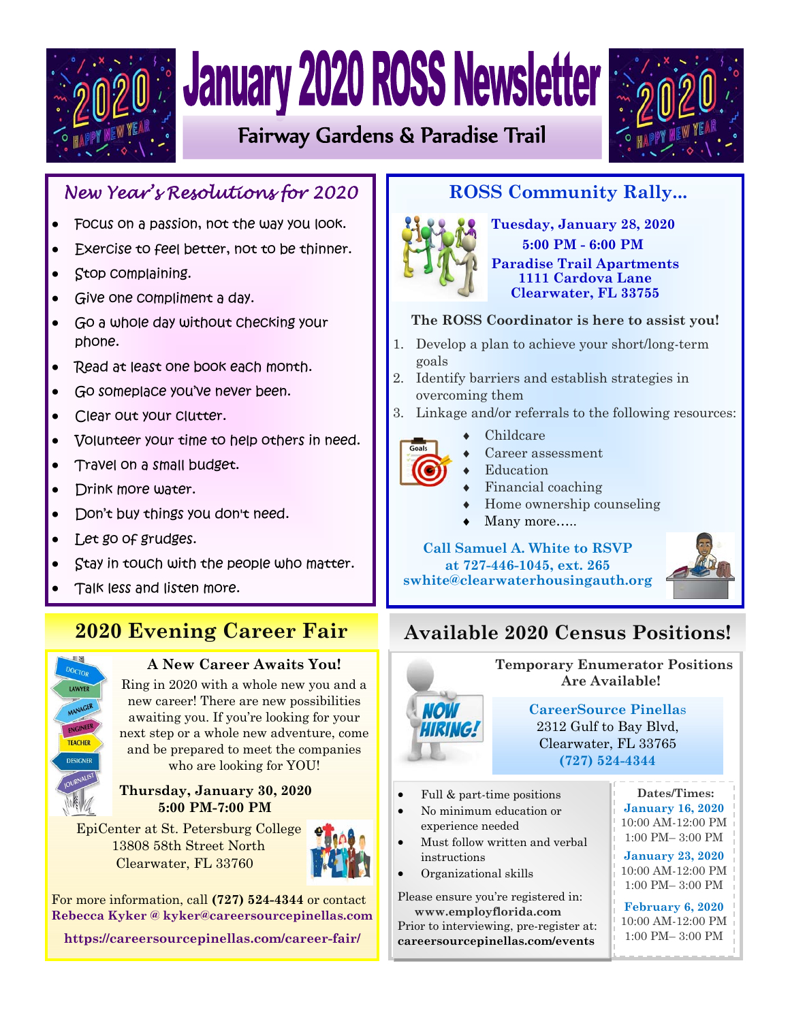

# **January 2020 ROSS Newsletter**

Fairway Gardens & Paradise Trail



## *New Year's Resolutions for 2020*

- Focus on a passion, not the way you look.
- Exercise to feel better, not to be thinner.
- Stop complaining.
- Give one compliment a day.
- Go a whole day without checking your phone.
- Read at least one book each month.
- Go someplace you've never been.
- Clear out your clutter.
- Volunteer your time to help others in need.
- Travel on a small budget.
- Drink more water.
- Don't buy things you don't need.
- Let go of grudges.
- Stay in touch with the people who matter.
- Talk less and listen more.

# **2020 Evening Career Fair**



## **A New Career Awaits You!**

Ring in 2020 with a whole new you and a new career! There are new possibilities awaiting you. If you're looking for your next step or a whole new adventure, come and be prepared to meet the companies who are looking for YOU!

#### **Thursday, January 30, 2020 5:00 PM-7:00 PM**

EpiCenter at St. Petersburg College 13808 58th Street North Clearwater, FL 33760



For more information, call **(727) 524-4344** or contact **Rebecca Kyker @ kyker@careersourcepinellas.com**

**https://careersourcepinellas.com/career-fair/**

## **ROSS Community Rally...**



**Tuesday, January 28, 2020 5:00 PM - 6:00 PM Paradise Trail Apartments 1111 Cardova Lane Clearwater, FL 33755** 

## **The ROSS Coordinator is here to assist you!**

- 1. Develop a plan to achieve your short/long-term goals
- 2. Identify barriers and establish strategies in overcoming them
- 3. Linkage and/or referrals to the following resources:



- Childcare
- Career assessment
- Education
- Financial coaching
- Home ownership counseling
- Many more…..

### **Call Samuel A. White to RSVP at 727-446-1045, ext. 265**

**swhite@clearwaterhousingauth.org** 



# **Available 2020 Census Positions!**



 **Temporary Enumerator Positions Are Available! CareerSource Pinella**s

2312 Gulf to Bay Blvd, Clearwater, FL 33765 **(727) 524-4344** 

- Full & part-time positions
- experience needed  $\begin{bmatrix} 10:00 \end{bmatrix}$ No minimum education or
- $\bullet$  Must follow written and verbal instructions
- $\bullet$  Organizational skills

 $\mathbb{R}$  building, making and making and making and making and making and making and making and making and making and  $\mathbb{R}$ Please ensure you're registered in:  $\begin{bmatrix} 1 \\ 1 \end{bmatrix}$  Prior to interviewing, pre-register at:  **www.employflorida.com careersourcepinellas.com/events** 

**Dates/Times: January 16, 2020** 10:00 AM-12:00 PM 1:00 PM– 3:00 PM

**January 23, 2020** 10:00 AM-12:00 PM 1:00 PM– 3:00 PM

**February 6, 2020** 10:00 AM-12:00 PM 1:00 PM– 3:00 PM